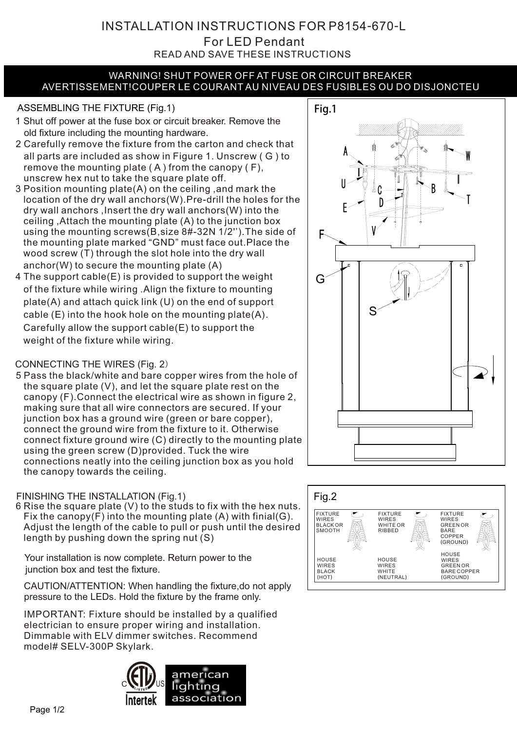ſ READ AND SAVE THESE INSTRUCTIONS For LED Pendant INSTALLATION INSTRUCTIONS FOR P8154-670-L

#### WARNING! SHUT POWER OFF AT FUSE OR CIRCUIT BREAKER AVERTISSEMENT!COUPER LE COURANT AU NIVEAU DES FUSIBLES OU DO DISJONCTEU

### ASSEMBLING THE FIXTURE (Fig.1) Fig.1

- 1 Shut off power at the fuse box or circuit breaker. Remove the old fixture including the mounting hardware.
- 2 Carefully remove the fixture from the carton and check that all parts are included as show in Figure 1. Unscrew ( G ) to remove the mounting plate  $(A)$  from the canopy  $(F)$ , unscrew hex nut to take the square plate off.
- 3 Position mounting plate(A) on the ceiling ,and mark the location of the dry wall anchors(W).Pre-drill the holes for the dry wall anchors ,Insert the dry wall anchors(W) into the ceiling ,Attach the mounting plate (A) to the junction box using the mounting screws(B,size 8#-32N 1/2'').The side of the mounting plate marked "GND" must face out.Place the wood screw (T) through the slot hole into the dry wall anchor(W) to secure the mounting plate (A)
- 4 The support cable(E) is provided to support the weight of the fixture while wiring .Align the fixture to mounting plate(A) and attach quick link (U) on the end of support cable (E) into the hook hole on the mounting plate(A). Carefully allow the support cable(E) to support the weight of the fixture while wiring.

## CONNECTING THE WIRES (Fig. 2)

5 Pass the black/white and bare copper wires from the hole of the square plate (V), and let the square plate rest on the canopy (F).Connect the electrical wire as shown in figure 2, making sure that all wire connectors are secured. If your junction box has a ground wire (green or bare copper), connect the ground wire from the fixture to it. Otherwise connect fixture ground wire (C) directly to the mounting plate using the green screw (D)provided. Tuck the wire connections neatly into the ceiling junction box as you hold the canopy towards the ceiling.

## FINISHING THE INSTALLATION (Fig.1)

6 Rise the square plate (V) to the studs to fix with the hex nuts. Fix the canopy(F) into the mounting plate (A) with finial(G). Adjust the length of the cable to pull or push until the desired length by pushing down the spring nut (S)

Your installation is now complete. Return power to the junction box and test the fixture.

CAUTION/ATTENTION: When handling the fixture,do not apply pressure to the LEDs. Hold the fixture by the frame only.

IMPORTANT: Fixture should be installed by a qualified electrician to ensure proper wiring and installation. Dimmable with ELV dimmer switches. Recommend model# SELV-300P Skylark.